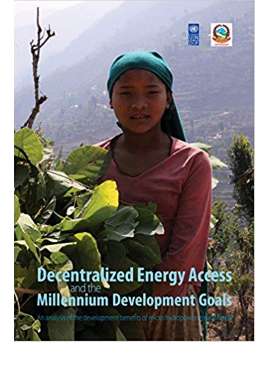

## Decentralized Energy Access

elopment benefits of micro hydrop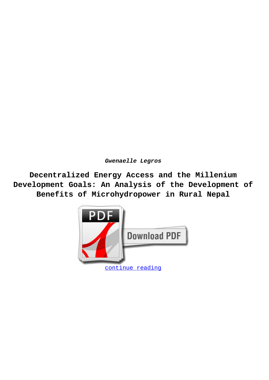**Gwenaelle Legros**

**Decentralized Energy Access and the Millenium Development Goals: An Analysis of the Development of Benefits of Microhydropower in Rural Nepal**

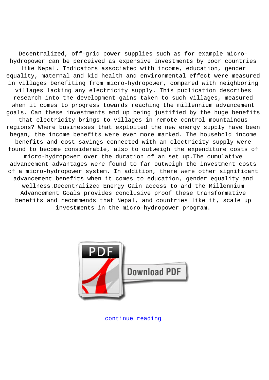Decentralized, off-grid power supplies such as for example microhydropower can be perceived as expensive investments by poor countries like Nepal. Indicators associated with income, education, gender equality, maternal and kid health and environmental effect were measured in villages benefiting from micro-hydropower, compared with neighboring villages lacking any electricity supply. This publication describes research into the development gains taken to such villages, measured when it comes to progress towards reaching the millennium advancement goals. Can these investments end up being justified by the huge benefits that electricity brings to villages in remote control mountainous regions? Where businesses that exploited the new energy supply have been began, the income benefits were even more marked. The household income benefits and cost savings connected with an electricity supply were found to become considerable, also to outweigh the expenditure costs of micro-hydropower over the duration of an set up.The cumulative advancement advantages were found to far outweigh the investment costs of a micro-hydropower system. In addition, there were other significant advancement benefits when it comes to education, gender equality and wellness.Decentralized Energy Gain access to and the Millennium Advancement Goals provides conclusive proof these transformative benefits and recommends that Nepal, and countries like it, scale up investments in the micro-hydropower program.



[continue reading](http://bit.ly/2Tge8Fv)